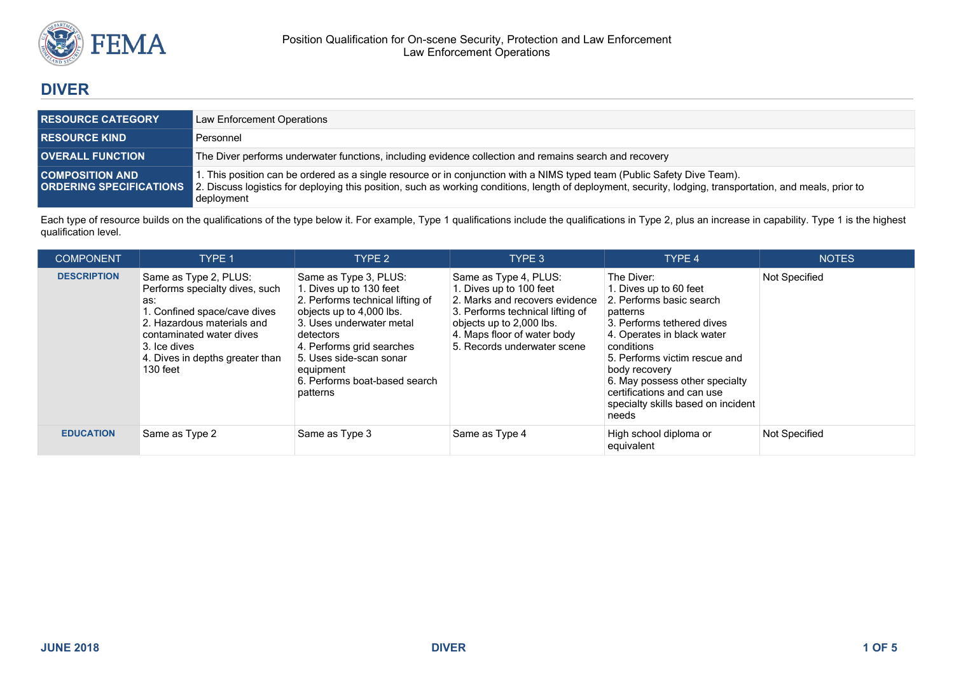

# **DIVER**

| <b>RESOURCE CATEGORY</b>                                 | Law Enforcement Operations                                                                                                                                                                                                                                                                           |
|----------------------------------------------------------|------------------------------------------------------------------------------------------------------------------------------------------------------------------------------------------------------------------------------------------------------------------------------------------------------|
| <b>RESOURCE KIND</b>                                     | Personnel                                                                                                                                                                                                                                                                                            |
| <b>OVERALL FUNCTION</b>                                  | The Diver performs underwater functions, including evidence collection and remains search and recovery                                                                                                                                                                                               |
| <b>COMPOSITION AND</b><br><b>ORDERING SPECIFICATIONS</b> | 1. This position can be ordered as a single resource or in conjunction with a NIMS typed team (Public Safety Dive Team).<br>2. Discuss logistics for deploying this position, such as working conditions, length of deployment, security, lodging, transportation, and meals, prior to<br>deployment |

Each type of resource builds on the qualifications of the type below it. For example, Type 1 qualifications include the qualifications in Type 2, plus an increase in capability. Type 1 is the highest qualification level.

| <b>COMPONENT</b>   | <b>TYPE 1</b>                                                                                                                                                                                                           | TYPE <sub>2</sub>                                                                                                                                                                                                                                                           | TYPE 3                                                                                                                                                                                                           | TYPE 4                                                                                                                                                                                                                                                                                                                  | <b>NOTES</b>  |
|--------------------|-------------------------------------------------------------------------------------------------------------------------------------------------------------------------------------------------------------------------|-----------------------------------------------------------------------------------------------------------------------------------------------------------------------------------------------------------------------------------------------------------------------------|------------------------------------------------------------------------------------------------------------------------------------------------------------------------------------------------------------------|-------------------------------------------------------------------------------------------------------------------------------------------------------------------------------------------------------------------------------------------------------------------------------------------------------------------------|---------------|
| <b>DESCRIPTION</b> | Same as Type 2, PLUS:<br>Performs specialty dives, such<br>as:<br>1. Confined space/cave dives<br>2. Hazardous materials and<br>contaminated water dives<br>3. Ice dives<br>4. Dives in depths greater than<br>130 feet | Same as Type 3, PLUS:<br>1. Dives up to 130 feet<br>2. Performs technical lifting of<br>objects up to 4,000 lbs.<br>3. Uses underwater metal<br>detectors<br>4. Performs grid searches<br>5. Uses side-scan sonar<br>equipment<br>6. Performs boat-based search<br>patterns | Same as Type 4, PLUS:<br>1. Dives up to 100 feet<br>2. Marks and recovers evidence<br>3. Performs technical lifting of<br>objects up to 2,000 lbs.<br>4. Maps floor of water body<br>5. Records underwater scene | The Diver:<br>1. Dives up to 60 feet<br>2. Performs basic search<br>patterns<br>3. Performs tethered dives<br>4. Operates in black water<br>conditions<br>5. Performs victim rescue and<br>body recovery<br>6. May possess other specialty<br>certifications and can use<br>specialty skills based on incident<br>needs | Not Specified |
| <b>EDUCATION</b>   | Same as Type 2                                                                                                                                                                                                          | Same as Type 3                                                                                                                                                                                                                                                              | Same as Type 4                                                                                                                                                                                                   | High school diploma or<br>equivalent                                                                                                                                                                                                                                                                                    | Not Specified |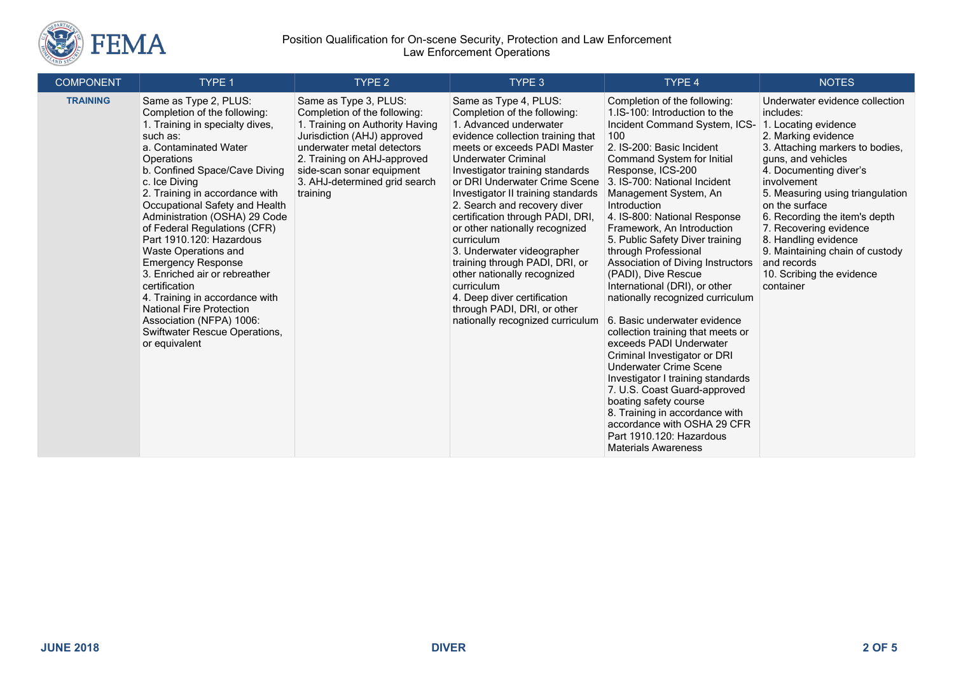

### Position Qualification for On-scene Security, Protection and Law Enforcement Law Enforcement Operations

| <b>COMPONENT</b> | TYPE 1                                                                                                                                                                                                                                                                                                                                                                                                                                                                                                                                                                                                                          | TYPE <sub>2</sub>                                                                                                                                                                                                                                              | TYPE 3                                                                                                                                                                                                                                                                                                                                                                                                                                                                                                                                                                                                                          | TYPE 4                                                                                                                                                                                                                                                                                                                                                                                                                                                                                                                                                                                                                                                                                                                                                                                                                                                                                                             | <b>NOTES</b>                                                                                                                                                                                                                                                                                                                                                                                                                      |
|------------------|---------------------------------------------------------------------------------------------------------------------------------------------------------------------------------------------------------------------------------------------------------------------------------------------------------------------------------------------------------------------------------------------------------------------------------------------------------------------------------------------------------------------------------------------------------------------------------------------------------------------------------|----------------------------------------------------------------------------------------------------------------------------------------------------------------------------------------------------------------------------------------------------------------|---------------------------------------------------------------------------------------------------------------------------------------------------------------------------------------------------------------------------------------------------------------------------------------------------------------------------------------------------------------------------------------------------------------------------------------------------------------------------------------------------------------------------------------------------------------------------------------------------------------------------------|--------------------------------------------------------------------------------------------------------------------------------------------------------------------------------------------------------------------------------------------------------------------------------------------------------------------------------------------------------------------------------------------------------------------------------------------------------------------------------------------------------------------------------------------------------------------------------------------------------------------------------------------------------------------------------------------------------------------------------------------------------------------------------------------------------------------------------------------------------------------------------------------------------------------|-----------------------------------------------------------------------------------------------------------------------------------------------------------------------------------------------------------------------------------------------------------------------------------------------------------------------------------------------------------------------------------------------------------------------------------|
| <b>TRAINING</b>  | Same as Type 2, PLUS:<br>Completion of the following:<br>1. Training in specialty dives,<br>such as:<br>a. Contaminated Water<br>Operations<br>b. Confined Space/Cave Diving<br>c. Ice Diving<br>2. Training in accordance with<br>Occupational Safety and Health<br>Administration (OSHA) 29 Code<br>of Federal Regulations (CFR)<br>Part 1910.120: Hazardous<br><b>Waste Operations and</b><br><b>Emergency Response</b><br>3. Enriched air or rebreather<br>certification<br>4. Training in accordance with<br><b>National Fire Protection</b><br>Association (NFPA) 1006:<br>Swiftwater Rescue Operations,<br>or equivalent | Same as Type 3, PLUS:<br>Completion of the following:<br>1. Training on Authority Having<br>Jurisdiction (AHJ) approved<br>underwater metal detectors<br>2. Training on AHJ-approved<br>side-scan sonar equipment<br>3. AHJ-determined grid search<br>training | Same as Type 4, PLUS:<br>Completion of the following:<br>1. Advanced underwater<br>evidence collection training that<br>meets or exceeds PADI Master<br><b>Underwater Criminal</b><br>Investigator training standards<br>or DRI Underwater Crime Scene<br>Investigator II training standards<br>2. Search and recovery diver<br>certification through PADI, DRI,<br>or other nationally recognized<br>curriculum<br>3. Underwater videographer<br>training through PADI, DRI, or<br>other nationally recognized<br>curriculum<br>4. Deep diver certification<br>through PADI, DRI, or other<br>nationally recognized curriculum | Completion of the following:<br>1.IS-100: Introduction to the<br>Incident Command System, ICS-<br>100<br>2. IS-200: Basic Incident<br><b>Command System for Initial</b><br>Response, ICS-200<br>3. IS-700: National Incident<br>Management System, An<br>Introduction<br>4. IS-800: National Response<br>Framework. An Introduction<br>5. Public Safety Diver training<br>through Professional<br>Association of Diving Instructors<br>(PADI), Dive Rescue<br>International (DRI), or other<br>nationally recognized curriculum<br>6. Basic underwater evidence<br>collection training that meets or<br>exceeds PADI Underwater<br>Criminal Investigator or DRI<br>Underwater Crime Scene<br>Investigator I training standards<br>7. U.S. Coast Guard-approved<br>boating safety course<br>8. Training in accordance with<br>accordance with OSHA 29 CFR<br>Part 1910.120: Hazardous<br><b>Materials Awareness</b> | Underwater evidence collection<br>includes:<br>1. Locating evidence<br>2. Marking evidence<br>3. Attaching markers to bodies,<br>guns, and vehicles<br>4. Documenting diver's<br>involvement<br>5. Measuring using triangulation<br>on the surface<br>6. Recording the item's depth<br>7. Recovering evidence<br>8. Handling evidence<br>9. Maintaining chain of custody<br>and records<br>10. Scribing the evidence<br>container |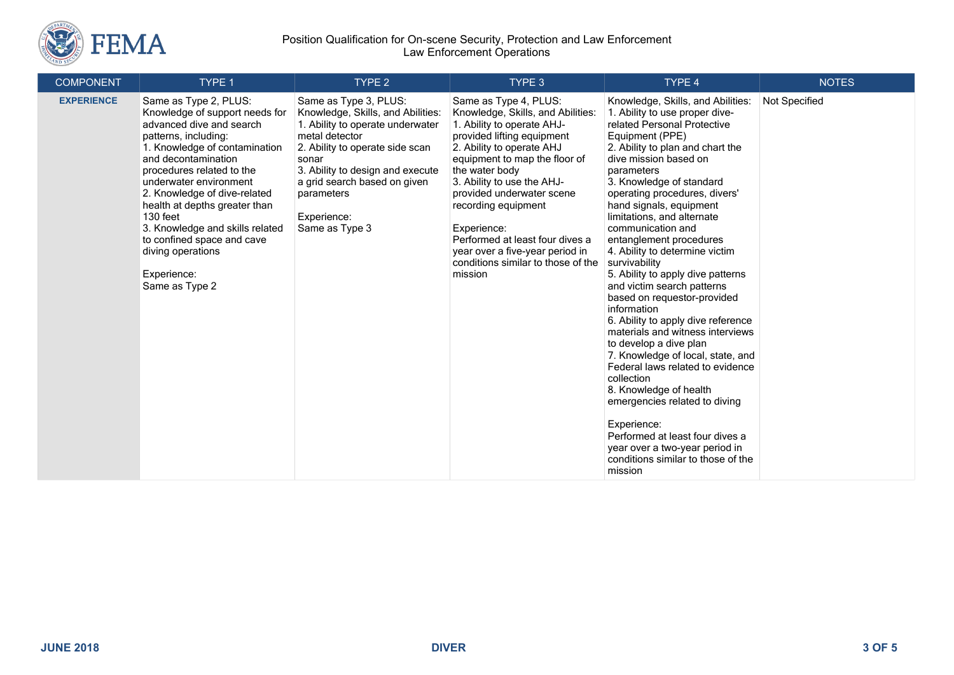

### Position Qualification for On-scene Security, Protection and Law Enforcement Law Enforcement Operations

| <b>COMPONENT</b>  | TYPE 1                                                                                                                                                                                                                                                                                                                                                                                                                         | TYPE <sub>2</sub>                                                                                                                                                                                                                                                               | TYPE 3                                                                                                                                                                                                                                                                                                                                                                                                                         | TYPE 4                                                                                                                                                                                                                                                                                                                                                                                                                                                                                                                                                                                                                                                                                                                                                                                                                                                                                                                                | <b>NOTES</b>  |
|-------------------|--------------------------------------------------------------------------------------------------------------------------------------------------------------------------------------------------------------------------------------------------------------------------------------------------------------------------------------------------------------------------------------------------------------------------------|---------------------------------------------------------------------------------------------------------------------------------------------------------------------------------------------------------------------------------------------------------------------------------|--------------------------------------------------------------------------------------------------------------------------------------------------------------------------------------------------------------------------------------------------------------------------------------------------------------------------------------------------------------------------------------------------------------------------------|---------------------------------------------------------------------------------------------------------------------------------------------------------------------------------------------------------------------------------------------------------------------------------------------------------------------------------------------------------------------------------------------------------------------------------------------------------------------------------------------------------------------------------------------------------------------------------------------------------------------------------------------------------------------------------------------------------------------------------------------------------------------------------------------------------------------------------------------------------------------------------------------------------------------------------------|---------------|
| <b>EXPERIENCE</b> | Same as Type 2, PLUS:<br>Knowledge of support needs for<br>advanced dive and search<br>patterns, including:<br>1. Knowledge of contamination<br>and decontamination<br>procedures related to the<br>underwater environment<br>2. Knowledge of dive-related<br>health at depths greater than<br>130 feet<br>3. Knowledge and skills related<br>to confined space and cave<br>diving operations<br>Experience:<br>Same as Type 2 | Same as Type 3, PLUS:<br>Knowledge, Skills, and Abilities:<br>1. Ability to operate underwater<br>metal detector<br>2. Ability to operate side scan<br>sonar<br>3. Ability to design and execute<br>a grid search based on given<br>parameters<br>Experience:<br>Same as Type 3 | Same as Type 4, PLUS:<br>Knowledge, Skills, and Abilities:<br>1. Ability to operate AHJ-<br>provided lifting equipment<br>2. Ability to operate AHJ<br>equipment to map the floor of<br>the water body<br>3. Ability to use the AHJ-<br>provided underwater scene<br>recording equipment<br>Experience:<br>Performed at least four dives a<br>year over a five-year period in<br>conditions similar to those of the<br>mission | Knowledge, Skills, and Abilities:<br>1. Ability to use proper dive-<br>related Personal Protective<br>Equipment (PPE)<br>2. Ability to plan and chart the<br>dive mission based on<br>parameters<br>3. Knowledge of standard<br>operating procedures, divers'<br>hand signals, equipment<br>limitations, and alternate<br>communication and<br>entanglement procedures<br>4. Ability to determine victim<br>survivability<br>5. Ability to apply dive patterns<br>and victim search patterns<br>based on requestor-provided<br>information<br>6. Ability to apply dive reference<br>materials and witness interviews<br>to develop a dive plan<br>7. Knowledge of local, state, and<br>Federal laws related to evidence<br>collection<br>8. Knowledge of health<br>emergencies related to diving<br>Experience:<br>Performed at least four dives a<br>year over a two-year period in<br>conditions similar to those of the<br>mission | Not Specified |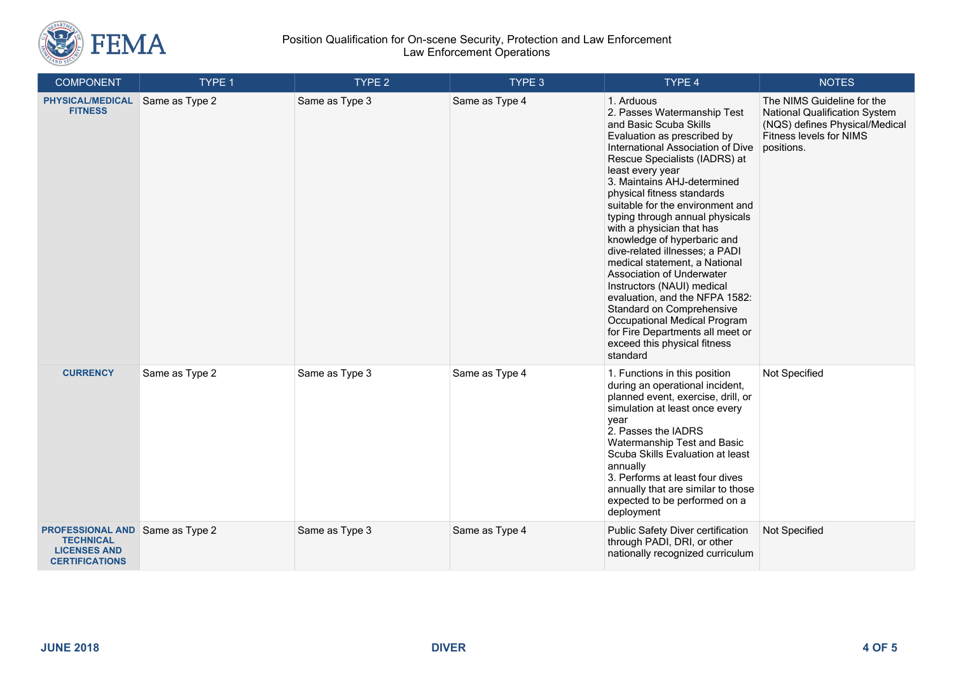

### Position Qualification for On-scene Security, Protection and Law Enforcement Law Enforcement Operations

| <b>COMPONENT</b>                                                                                           | TYPE 1         | TYPE 2         | TYPE 3         | TYPE 4                                                                                                                                                                                                                                                                                                                                                                                                                                                                                                                                                                                                                                                                                                    | <b>NOTES</b>                                                                                                                           |
|------------------------------------------------------------------------------------------------------------|----------------|----------------|----------------|-----------------------------------------------------------------------------------------------------------------------------------------------------------------------------------------------------------------------------------------------------------------------------------------------------------------------------------------------------------------------------------------------------------------------------------------------------------------------------------------------------------------------------------------------------------------------------------------------------------------------------------------------------------------------------------------------------------|----------------------------------------------------------------------------------------------------------------------------------------|
| <b>PHYSICAL/MEDICAL</b><br><b>FITNESS</b>                                                                  | Same as Type 2 | Same as Type 3 | Same as Type 4 | 1. Arduous<br>2. Passes Watermanship Test<br>and Basic Scuba Skills<br>Evaluation as prescribed by<br>International Association of Dive<br>Rescue Specialists (IADRS) at<br>least every year<br>3. Maintains AHJ-determined<br>physical fitness standards<br>suitable for the environment and<br>typing through annual physicals<br>with a physician that has<br>knowledge of hyperbaric and<br>dive-related illnesses; a PADI<br>medical statement, a National<br>Association of Underwater<br>Instructors (NAUI) medical<br>evaluation, and the NFPA 1582:<br>Standard on Comprehensive<br>Occupational Medical Program<br>for Fire Departments all meet or<br>exceed this physical fitness<br>standard | The NIMS Guideline for the<br>National Qualification System<br>(NQS) defines Physical/Medical<br>Fitness levels for NIMS<br>positions. |
| <b>CURRENCY</b>                                                                                            | Same as Type 2 | Same as Type 3 | Same as Type 4 | 1. Functions in this position<br>during an operational incident,<br>planned event, exercise, drill, or<br>simulation at least once every<br>year<br>2. Passes the IADRS<br>Watermanship Test and Basic<br>Scuba Skills Evaluation at least<br>annually<br>3. Performs at least four dives<br>annually that are similar to those<br>expected to be performed on a<br>deployment                                                                                                                                                                                                                                                                                                                            | Not Specified                                                                                                                          |
| <b>PROFESSIONAL AND Same as Type 2</b><br><b>TECHNICAL</b><br><b>LICENSES AND</b><br><b>CERTIFICATIONS</b> |                | Same as Type 3 | Same as Type 4 | Public Safety Diver certification<br>through PADI, DRI, or other<br>nationally recognized curriculum                                                                                                                                                                                                                                                                                                                                                                                                                                                                                                                                                                                                      | Not Specified                                                                                                                          |